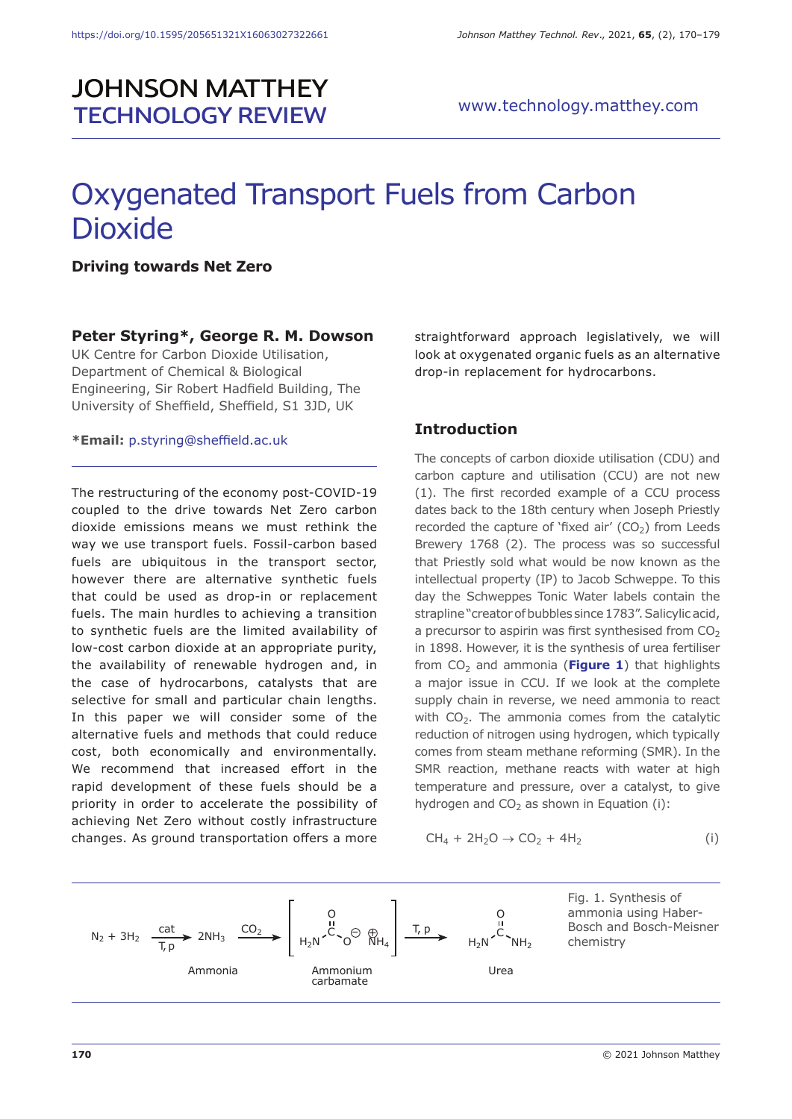# **JOHNSON MATTHEY TECHNOLOGY REVIEW**

# Oxygenated Transport Fuels from Carbon Dioxide

**Driving towards Net Zero**

#### **Peter Styring\*, George R. M. Dowson**

UK Centre for Carbon Dioxide Utilisation, Department of Chemical & Biological Engineering, Sir Robert Hadfield Building, The University of Sheffield, Sheffield, S1 3JD, UK

**\*Email:** p.styring@sheffield.ac.uk

The restructuring of the economy post-COVID-19 coupled to the drive towards Net Zero carbon dioxide emissions means we must rethink the way we use transport fuels. Fossil-carbon based fuels are ubiquitous in the transport sector, however there are alternative synthetic fuels that could be used as drop-in or replacement fuels. The main hurdles to achieving a transition to synthetic fuels are the limited availability of low-cost carbon dioxide at an appropriate purity, the availability of renewable hydrogen and, in the case of hydrocarbons, catalysts that are selective for small and particular chain lengths. In this paper we will consider some of the alternative fuels and methods that could reduce cost, both economically and environmentally. We recommend that increased effort in the rapid development of these fuels should be a priority in order to accelerate the possibility of achieving Net Zero without costly infrastructure changes. As ground transportation offers a more

straightforward approach legislatively, we will look at oxygenated organic fuels as an alternative drop-in replacement for hydrocarbons.

#### **Introduction**

The concepts of carbon dioxide utilisation (CDU) and carbon capture and utilisation (CCU) are not new (1). The first recorded example of a CCU process dates back to the 18th century when Joseph Priestly recorded the capture of 'fixed air'  $(CO<sub>2</sub>)$  from Leeds Brewery 1768 (2). The process was so successful that Priestly sold what would be now known as the intellectual property (IP) to Jacob Schweppe. To this day the Schweppes Tonic Water labels contain the strapline "creator of bubbles since 1783". Salicylic acid, a precursor to aspirin was first synthesised from  $CO<sub>2</sub>$ in 1898. However, it is the synthesis of urea fertiliser from  $CO<sub>2</sub>$  and ammonia (**Figure 1**) that highlights a major issue in CCU. If we look at the complete supply chain in reverse, we need ammonia to react with CO<sub>2</sub>. The ammonia comes from the catalytic reduction of nitrogen using hydrogen, which typically comes from steam methane reforming (SMR). In the SMR reaction, methane reacts with water at high temperature and pressure, over a catalyst, to give hydrogen and  $CO<sub>2</sub>$  as shown in Equation (i):

$$
CH_4 + 2H_2O \rightarrow CO_2 + 4H_2 \tag{i}
$$

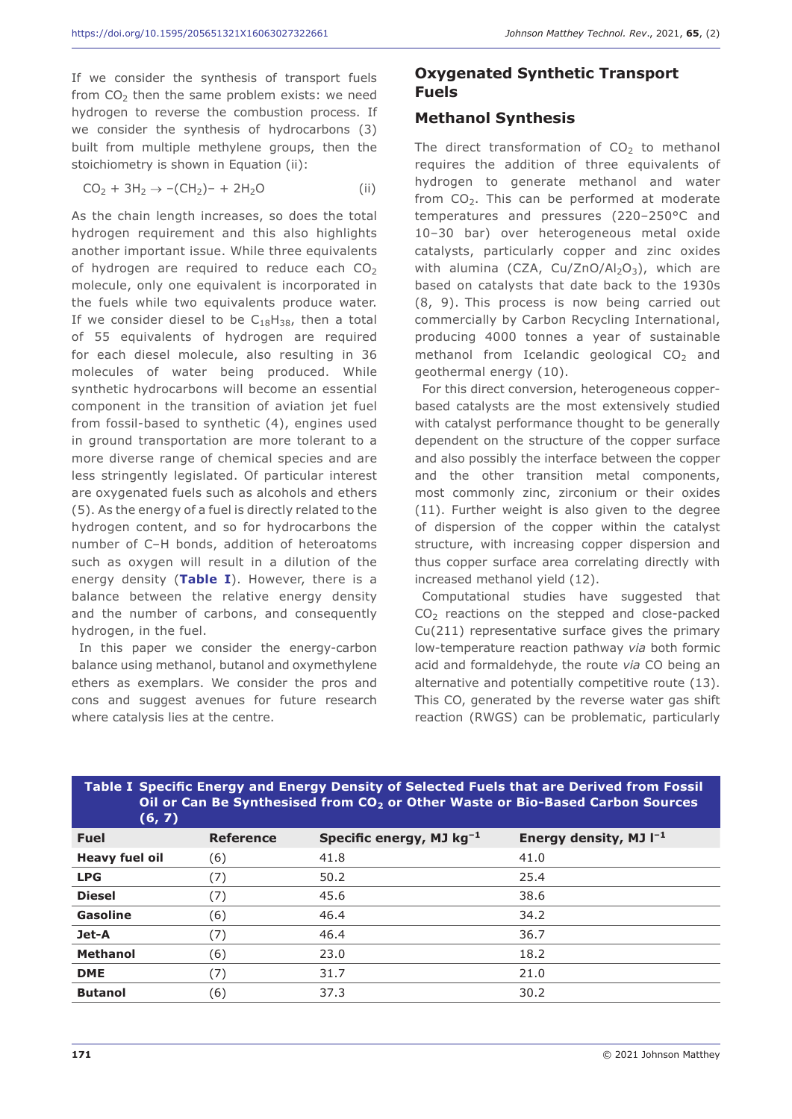If we consider the synthesis of transport fuels from  $CO<sub>2</sub>$  then the same problem exists: we need hydrogen to reverse the combustion process. If we consider the synthesis of hydrocarbons (3) built from multiple methylene groups, then the stoichiometry is shown in Equation (ii):

$$
CO_2 + 3H_2 \to -(CH_2)- + 2H_2O \tag{ii}
$$

As the chain length increases, so does the total hydrogen requirement and this also highlights another important issue. While three equivalents of hydrogen are required to reduce each  $CO<sub>2</sub>$ molecule, only one equivalent is incorporated in the fuels while two equivalents produce water. If we consider diesel to be  $C_{18}H_{38}$ , then a total of 55 equivalents of hydrogen are required for each diesel molecule, also resulting in 36 molecules of water being produced. While synthetic hydrocarbons will become an essential component in the transition of aviation jet fuel from fossil-based to synthetic (4), engines used in ground transportation are more tolerant to a more diverse range of chemical species and are less stringently legislated. Of particular interest are oxygenated fuels such as alcohols and ethers (5). As the energy of a fuel is directly related to the hydrogen content, and so for hydrocarbons the number of C–H bonds, addition of heteroatoms such as oxygen will result in a dilution of the energy density (**Table I**). However, there is a balance between the relative energy density and the number of carbons, and consequently hydrogen, in the fuel.

In this paper we consider the energy-carbon balance using methanol, butanol and oxymethylene ethers as exemplars. We consider the pros and cons and suggest avenues for future research where catalysis lies at the centre.

# **Oxygenated Synthetic Transport Fuels**

# **Methanol Synthesis**

The direct transformation of  $CO<sub>2</sub>$  to methanol requires the addition of three equivalents of hydrogen to generate methanol and water from  $CO<sub>2</sub>$ . This can be performed at moderate temperatures and pressures (220–250°C and 10–30 bar) over heterogeneous metal oxide catalysts, particularly copper and zinc oxides with alumina (CZA, Cu/ZnO/Al<sub>2</sub>O<sub>3</sub>), which are based on catalysts that date back to the 1930s (8, 9). This process is now being carried out commercially by Carbon Recycling International, producing 4000 tonnes a year of sustainable methanol from Icelandic geological  $CO<sub>2</sub>$  and geothermal energy (10).

For this direct conversion, heterogeneous copperbased catalysts are the most extensively studied with catalyst performance thought to be generally dependent on the structure of the copper surface and also possibly the interface between the copper and the other transition metal components, most commonly zinc, zirconium or their oxides (11). Further weight is also given to the degree of dispersion of the copper within the catalyst structure, with increasing copper dispersion and thus copper surface area correlating directly with increased methanol yield (12).

Computational studies have suggested that CO<sub>2</sub> reactions on the stepped and close-packed Cu(211) representative surface gives the primary low-temperature reaction pathway *via* both formic acid and formaldehyde, the route *via* CO being an alternative and potentially competitive route (13). This CO, generated by the reverse water gas shift reaction (RWGS) can be problematic, particularly

| Table I Specific Energy and Energy Density of Selected Fuels that are Derived from Fossil<br>Oil or Can Be Synthesised from CO <sub>2</sub> or Other Waste or Bio-Based Carbon Sources<br>(6, 7) |                  |                               |                             |
|--------------------------------------------------------------------------------------------------------------------------------------------------------------------------------------------------|------------------|-------------------------------|-----------------------------|
| <b>Fuel</b>                                                                                                                                                                                      | <b>Reference</b> | Specific energy, MJ $kg^{-1}$ | Energy density, MJ $I^{-1}$ |
| <b>Heavy fuel oil</b>                                                                                                                                                                            | (6)              | 41.8                          | 41.0                        |
| <b>LPG</b>                                                                                                                                                                                       | (7)              | 50.2                          | 25.4                        |
| <b>Diesel</b>                                                                                                                                                                                    | (7)              | 45.6                          | 38.6                        |
| Gasoline                                                                                                                                                                                         | (6)              | 46.4                          | 34.2                        |
| Jet-A                                                                                                                                                                                            | (7)              | 46.4                          | 36.7                        |
| <b>Methanol</b>                                                                                                                                                                                  | (6)              | 23.0                          | 18.2                        |
| <b>DME</b>                                                                                                                                                                                       | (7)              | 31.7                          | 21.0                        |
| <b>Butanol</b>                                                                                                                                                                                   | (6)              | 37.3                          | 30.2                        |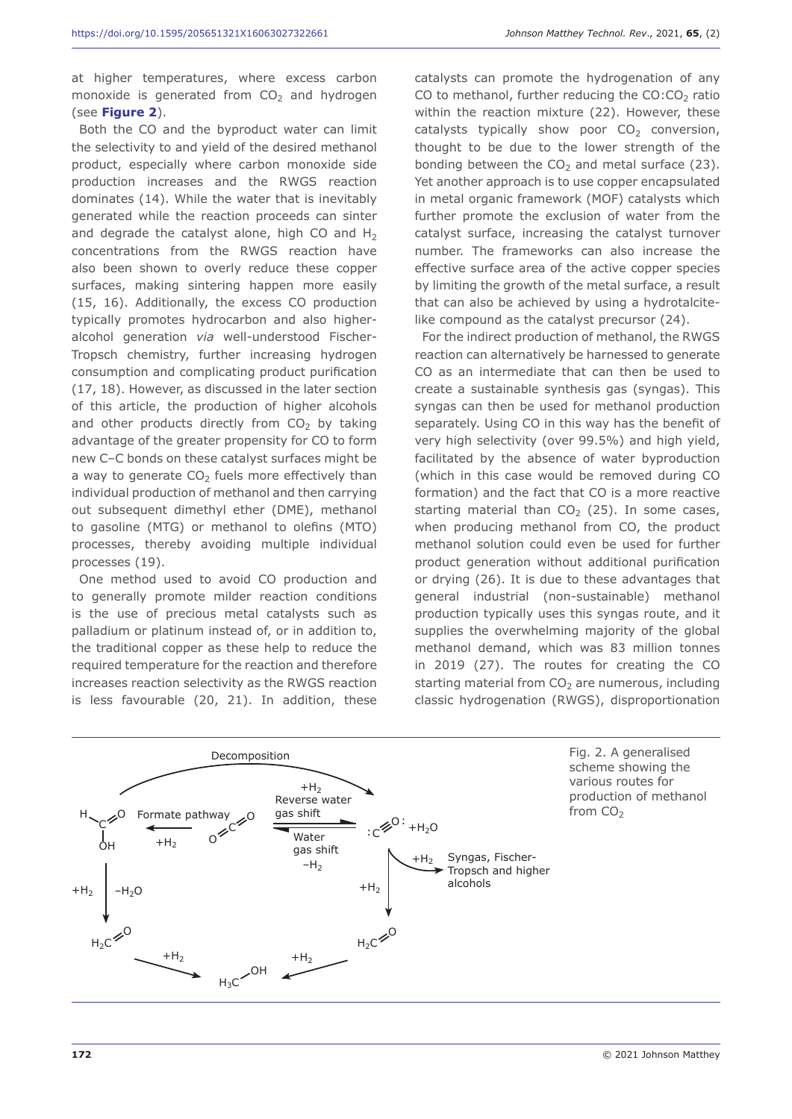at higher temperatures, where excess carbon monoxide is generated from  $CO<sub>2</sub>$  and hydrogen (see **Figure 2**).

Both the CO and the byproduct water can limit the selectivity to and yield of the desired methanol product, especially where carbon monoxide side production increases and the RWGS reaction dominates (14). While the water that is inevitably generated while the reaction proceeds can sinter and degrade the catalyst alone, high CO and  $H_2$ concentrations from the RWGS reaction have also been shown to overly reduce these copper surfaces, making sintering happen more easily (15, 16). Additionally, the excess CO production typically promotes hydrocarbon and also higheralcohol generation *via* well-understood Fischer-Tropsch chemistry, further increasing hydrogen consumption and complicating product purification (17, 18). However, as discussed in the later section of this article, the production of higher alcohols and other products directly from  $CO<sub>2</sub>$  by taking advantage of the greater propensity for CO to form new C–C bonds on these catalyst surfaces might be a way to generate  $CO<sub>2</sub>$  fuels more effectively than individual production of methanol and then carrying out subsequent dimethyl ether (DME), methanol to gasoline (MTG) or methanol to olefins (MTO) processes, thereby avoiding multiple individual processes (19).

One method used to avoid CO production and to generally promote milder reaction conditions is the use of precious metal catalysts such as palladium or platinum instead of, or in addition to, the traditional copper as these help to reduce the required temperature for the reaction and therefore increases reaction selectivity as the RWGS reaction is less favourable (20, 21). In addition, these catalysts can promote the hydrogenation of any CO to methanol, further reducing the  $CO:CO<sub>2</sub>$  ratio within the reaction mixture (22). However, these catalysts typically show poor  $CO<sub>2</sub>$  conversion, thought to be due to the lower strength of the bonding between the  $CO<sub>2</sub>$  and metal surface (23). Yet another approach is to use copper encapsulated in metal organic framework (MOF) catalysts which further promote the exclusion of water from the catalyst surface, increasing the catalyst turnover number. The frameworks can also increase the effective surface area of the active copper species by limiting the growth of the metal surface, a result that can also be achieved by using a hydrotalcitelike compound as the catalyst precursor (24).

For the indirect production of methanol, the RWGS reaction can alternatively be harnessed to generate CO as an intermediate that can then be used to create a sustainable synthesis gas (syngas). This syngas can then be used for methanol production separately. Using CO in this way has the benefit of very high selectivity (over 99.5%) and high yield, facilitated by the absence of water byproduction (which in this case would be removed during CO formation) and the fact that CO is a more reactive starting material than  $CO<sub>2</sub>$  (25). In some cases, when producing methanol from CO, the product methanol solution could even be used for further product generation without additional purification or drying (26). It is due to these advantages that general industrial (non-sustainable) methanol production typically uses this syngas route, and it supplies the overwhelming majority of the global methanol demand, which was 83 million tonnes in 2019 (27). The routes for creating the CO starting material from  $CO<sub>2</sub>$  are numerous, including classic hydrogenation (RWGS), disproportionation



Fig. 2. A generalised scheme showing the various routes for production of methanol from  $CO<sub>2</sub>$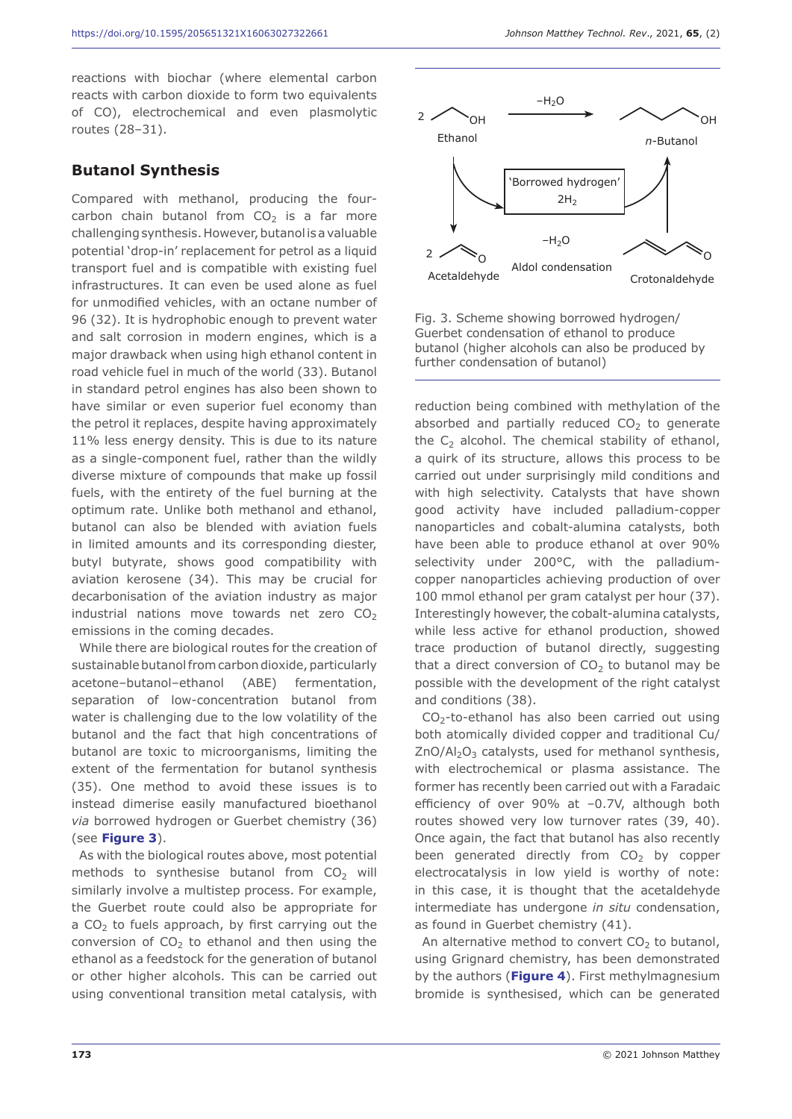reactions with biochar (where elemental carbon reacts with carbon dioxide to form two equivalents of CO), electrochemical and even plasmolytic routes (28–31).

#### **Butanol Synthesis**

Compared with methanol, producing the fourcarbon chain butanol from  $CO<sub>2</sub>$  is a far more challenging synthesis. However, butanol is a valuable potential 'drop-in' replacement for petrol as a liquid transport fuel and is compatible with existing fuel infrastructures. It can even be used alone as fuel for unmodified vehicles, with an octane number of 96 (32). It is hydrophobic enough to prevent water and salt corrosion in modern engines, which is a major drawback when using high ethanol content in road vehicle fuel in much of the world (33). Butanol in standard petrol engines has also been shown to have similar or even superior fuel economy than the petrol it replaces, despite having approximately 11% less energy density. This is due to its nature as a single-component fuel, rather than the wildly diverse mixture of compounds that make up fossil fuels, with the entirety of the fuel burning at the optimum rate. Unlike both methanol and ethanol, butanol can also be blended with aviation fuels in limited amounts and its corresponding diester, butyl butyrate, shows good compatibility with aviation kerosene (34). This may be crucial for decarbonisation of the aviation industry as major industrial nations move towards net zero  $CO<sub>2</sub>$ emissions in the coming decades.

While there are biological routes for the creation of sustainable butanol from carbon dioxide, particularly acetone–butanol–ethanol (ABE) fermentation, separation of low-concentration butanol from water is challenging due to the low volatility of the butanol and the fact that high concentrations of butanol are toxic to microorganisms, limiting the extent of the fermentation for butanol synthesis (35). One method to avoid these issues is to instead dimerise easily manufactured bioethanol *via* borrowed hydrogen or Guerbet chemistry (36) (see **Figure 3**).

As with the biological routes above, most potential methods to synthesise butanol from  $CO<sub>2</sub>$  will similarly involve a multistep process. For example, the Guerbet route could also be appropriate for a  $CO<sub>2</sub>$  to fuels approach, by first carrying out the conversion of  $CO<sub>2</sub>$  to ethanol and then using the ethanol as a feedstock for the generation of butanol or other higher alcohols. This can be carried out using conventional transition metal catalysis, with



Fig. 3. Scheme showing borrowed hydrogen/ Guerbet condensation of ethanol to produce butanol (higher alcohols can also be produced by further condensation of butanol)

reduction being combined with methylation of the absorbed and partially reduced  $CO<sub>2</sub>$  to generate the  $C_2$  alcohol. The chemical stability of ethanol, a quirk of its structure, allows this process to be carried out under surprisingly mild conditions and with high selectivity. Catalysts that have shown good activity have included palladium-copper nanoparticles and cobalt-alumina catalysts, both have been able to produce ethanol at over 90% selectivity under 200°C, with the palladiumcopper nanoparticles achieving production of over 100 mmol ethanol per gram catalyst per hour (37). Interestingly however, the cobalt-alumina catalysts, while less active for ethanol production, showed trace production of butanol directly, suggesting that a direct conversion of  $CO<sub>2</sub>$  to butanol may be possible with the development of the right catalyst and conditions (38).

CO2-to-ethanol has also been carried out using both atomically divided copper and traditional Cu/  $ZnO/Al<sub>2</sub>O<sub>3</sub>$  catalysts, used for methanol synthesis, with electrochemical or plasma assistance. The former has recently been carried out with a Faradaic efficiency of over 90% at –0.7V, although both routes showed very low turnover rates (39, 40). Once again, the fact that butanol has also recently been generated directly from  $CO<sub>2</sub>$  by copper electrocatalysis in low yield is worthy of note: in this case, it is thought that the acetaldehyde intermediate has undergone *in situ* condensation, as found in Guerbet chemistry (41).

An alternative method to convert  $CO<sub>2</sub>$  to butanol, using Grignard chemistry, has been demonstrated by the authors (**Figure 4**). First methylmagnesium bromide is synthesised, which can be generated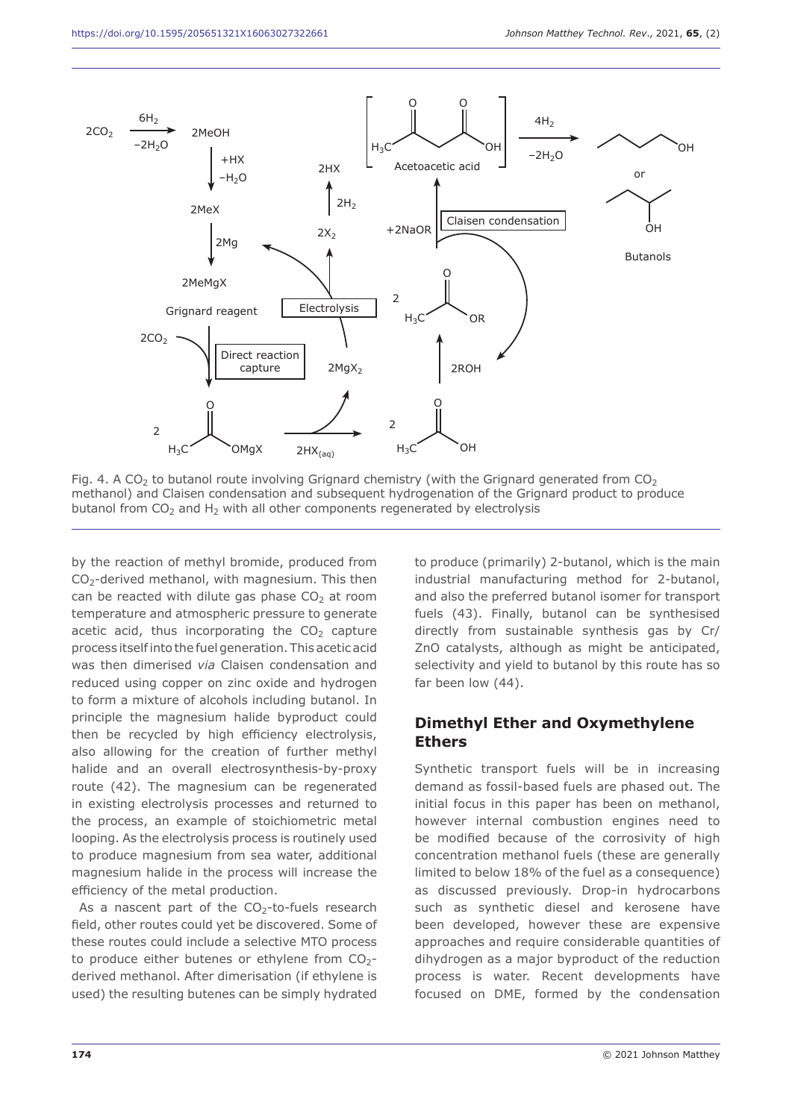

Fig. 4. A CO<sub>2</sub> to butanol route involving Grignard chemistry (with the Grignard generated from CO<sub>2</sub> methanol) and Claisen condensation and subsequent hydrogenation of the Grignard product to produce butanol from  $CO<sub>2</sub>$  and H<sub>2</sub> with all other components regenerated by electrolysis

by the reaction of methyl bromide, produced from  $CO<sub>2</sub>$ -derived methanol, with magnesium. This then can be reacted with dilute gas phase  $CO<sub>2</sub>$  at room temperature and atmospheric pressure to generate acetic acid, thus incorporating the  $CO<sub>2</sub>$  capture process itself into the fuel generation. This acetic acid was then dimerised *via* Claisen condensation and reduced using copper on zinc oxide and hydrogen to form a mixture of alcohols including butanol. In principle the magnesium halide byproduct could then be recycled by high efficiency electrolysis, also allowing for the creation of further methyl halide and an overall electrosynthesis-by-proxy route (42). The magnesium can be regenerated in existing electrolysis processes and returned to the process, an example of stoichiometric metal looping. As the electrolysis process is routinely used to produce magnesium from sea water, additional magnesium halide in the process will increase the efficiency of the metal production.

As a nascent part of the  $CO<sub>2</sub>$ -to-fuels research field, other routes could yet be discovered. Some of these routes could include a selective MTO process to produce either butenes or ethylene from  $CO<sub>2</sub>$ derived methanol. After dimerisation (if ethylene is used) the resulting butenes can be simply hydrated

to produce (primarily) 2-butanol, which is the main industrial manufacturing method for 2-butanol, and also the preferred butanol isomer for transport fuels (43). Finally, butanol can be synthesised directly from sustainable synthesis gas by Cr/ ZnO catalysts, although as might be anticipated, selectivity and yield to butanol by this route has so far been low (44).

# **Dimethyl Ether and Oxymethylene Ethers**

Synthetic transport fuels will be in increasing demand as fossil-based fuels are phased out. The initial focus in this paper has been on methanol, however internal combustion engines need to be modified because of the corrosivity of high concentration methanol fuels (these are generally limited to below 18% of the fuel as a consequence) as discussed previously. Drop-in hydrocarbons such as synthetic diesel and kerosene have been developed, however these are expensive approaches and require considerable quantities of dihydrogen as a major byproduct of the reduction process is water. Recent developments have focused on DME, formed by the condensation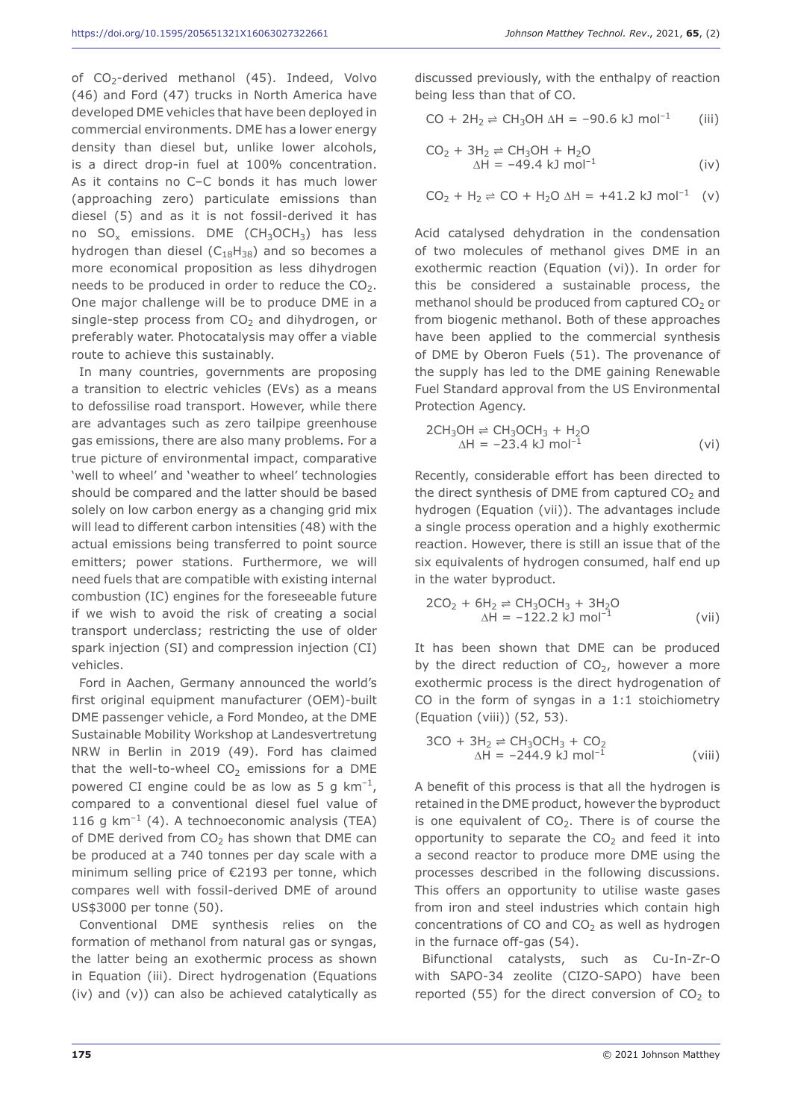of  $CO<sub>2</sub>$ -derived methanol (45). Indeed, Volvo (46) and Ford (47) trucks in North America have developed DME vehicles that have been deployed in commercial environments. DME has a lower energy density than diesel but, unlike lower alcohols, is a direct drop-in fuel at 100% concentration. As it contains no C–C bonds it has much lower (approaching zero) particulate emissions than diesel (5) and as it is not fossil-derived it has no  $SO_x$  emissions. DME (CH<sub>3</sub>OCH<sub>3</sub>) has less hydrogen than diesel ( $C_{18}H_{38}$ ) and so becomes a more economical proposition as less dihydrogen needs to be produced in order to reduce the  $CO<sub>2</sub>$ . One major challenge will be to produce DME in a single-step process from  $CO<sub>2</sub>$  and dihydrogen, or

preferably water. Photocatalysis may offer a viable

route to achieve this sustainably. In many countries, governments are proposing a transition to electric vehicles (EVs) as a means to defossilise road transport. However, while there are advantages such as zero tailpipe greenhouse gas emissions, there are also many problems. For a true picture of environmental impact, comparative 'well to wheel' and 'weather to wheel' technologies should be compared and the latter should be based solely on low carbon energy as a changing grid mix will lead to different carbon intensities (48) with the actual emissions being transferred to point source emitters; power stations. Furthermore, we will need fuels that are compatible with existing internal combustion (IC) engines for the foreseeable future if we wish to avoid the risk of creating a social transport underclass; restricting the use of older spark injection (SI) and compression injection (CI) vehicles.

Ford in Aachen, Germany announced the world's first original equipment manufacturer (OEM)-built DME passenger vehicle, a Ford Mondeo, at the DME Sustainable Mobility Workshop at Landesvertretung NRW in Berlin in 2019 (49). Ford has claimed that the well-to-wheel  $CO<sub>2</sub>$  emissions for a DME powered CI engine could be as low as 5 g  $km^{-1}$ , compared to a conventional diesel fuel value of 116 g  $km^{-1}$  (4). A technoeconomic analysis (TEA) of DME derived from  $CO<sub>2</sub>$  has shown that DME can be produced at a 740 tonnes per day scale with a minimum selling price of €2193 per tonne, which compares well with fossil-derived DME of around US\$3000 per tonne (50).

Conventional DME synthesis relies on the formation of methanol from natural gas or syngas, the latter being an exothermic process as shown in Equation (iii). Direct hydrogenation (Equations (iv) and (v)) can also be achieved catalytically as

discussed previously, with the enthalpy of reaction being less than that of CO.

$$
CO + 2H_2 \rightleftharpoons CH_3OH \Delta H = -90.6 \text{ kJ mol}^{-1}
$$
 (iii)

$$
CO2 + 3H2 \rightleftharpoons CH3OH + H2O\Delta H = -49.4 kJ mol-1
$$
 (iv)

$$
CO_2 + H_2 \rightleftharpoons CO + H_2O \triangle H = +41.2 \text{ kJ mol}^{-1}
$$
 (v)

Acid catalysed dehydration in the condensation of two molecules of methanol gives DME in an exothermic reaction (Equation (vi)). In order for this be considered a sustainable process, the methanol should be produced from captured  $CO<sub>2</sub>$  or from biogenic methanol. Both of these approaches have been applied to the commercial synthesis of DME by Oberon Fuels (51). The provenance of the supply has led to the DME gaining Renewable Fuel Standard approval from the US Environmental Protection Agency.

$$
2CH3OH \rightleftharpoons CH3OCH3 + H2O
$$
  
\n
$$
\Delta H = -23.4 \text{ kJ mol}^{-1}
$$
 (vi)

Recently, considerable effort has been directed to the direct synthesis of DME from captured  $CO<sub>2</sub>$  and hydrogen (Equation (vii)). The advantages include a single process operation and a highly exothermic reaction. However, there is still an issue that of the six equivalents of hydrogen consumed, half end up in the water byproduct.

$$
2CO2 + 6H2 \rightleftharpoons CH3OCH3 + 3H2O
$$
  
\n
$$
\Delta H = -122.2 \text{ kJ mol}^{-1}
$$
 (vii)

It has been shown that DME can be produced by the direct reduction of  $CO<sub>2</sub>$ , however a more exothermic process is the direct hydrogenation of CO in the form of syngas in a 1:1 stoichiometry (Equation (viii)) (52, 53).

$$
3CO + 3H2 \rightleftharpoons CH3OCH3 + CO2
$$
  
\n
$$
\Delta H = -244.9 \text{ kJ mol}^{-1}
$$
 (viii)

A benefit of this process is that all the hydrogen is retained in the DME product, however the byproduct is one equivalent of  $CO<sub>2</sub>$ . There is of course the opportunity to separate the  $CO<sub>2</sub>$  and feed it into a second reactor to produce more DME using the processes described in the following discussions. This offers an opportunity to utilise waste gases from iron and steel industries which contain high concentrations of CO and  $CO<sub>2</sub>$  as well as hydrogen in the furnace off-gas (54).

Bifunctional catalysts, such as Cu-In-Zr-O with SAPO-34 zeolite (CIZO-SAPO) have been reported (55) for the direct conversion of  $CO<sub>2</sub>$  to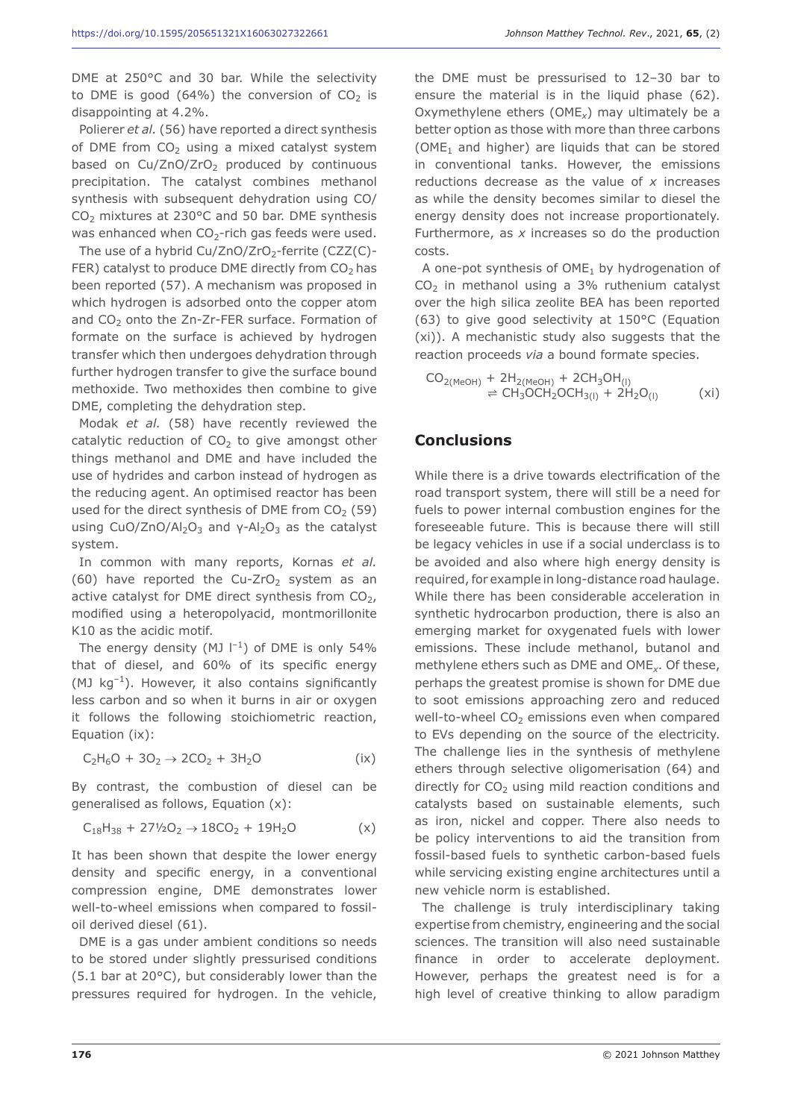DME at 250°C and 30 bar. While the selectivity to DME is good (64%) the conversion of  $CO<sub>2</sub>$  is disappointing at 4.2%.

Polierer *et al.* (56) have reported a direct synthesis of DME from  $CO<sub>2</sub>$  using a mixed catalyst system based on  $Cu/ZnO/ZrO<sub>2</sub>$  produced by continuous precipitation. The catalyst combines methanol synthesis with subsequent dehydration using CO/  $CO<sub>2</sub>$  mixtures at 230 $^{\circ}$ C and 50 bar. DME synthesis was enhanced when  $CO<sub>2</sub>$ -rich gas feeds were used.

The use of a hybrid Cu/ZnO/ZrO<sub>2</sub>-ferrite (CZZ(C)-FER) catalyst to produce DME directly from  $CO<sub>2</sub>$  has been reported (57). A mechanism was proposed in which hydrogen is adsorbed onto the copper atom and  $CO<sub>2</sub>$  onto the Zn-Zr-FER surface. Formation of formate on the surface is achieved by hydrogen transfer which then undergoes dehydration through further hydrogen transfer to give the surface bound methoxide. Two methoxides then combine to give DME, completing the dehydration step.

Modak *et al.* (58) have recently reviewed the catalytic reduction of  $CO<sub>2</sub>$  to give amongst other things methanol and DME and have included the use of hydrides and carbon instead of hydrogen as the reducing agent. An optimised reactor has been used for the direct synthesis of DME from  $CO<sub>2</sub>$  (59) using CuO/ZnO/Al<sub>2</sub>O<sub>3</sub> and γ-Al<sub>2</sub>O<sub>3</sub> as the catalyst system.

In common with many reports, Kornas *et al.* (60) have reported the Cu-ZrO<sub>2</sub> system as an active catalyst for DME direct synthesis from  $CO<sub>2</sub>$ , modified using a heteropolyacid, montmorillonite K10 as the acidic motif.

The energy density (MJ  $|^{-1}$ ) of DME is only 54% that of diesel, and 60% of its specific energy (MJ  $kg^{-1}$ ). However, it also contains significantly less carbon and so when it burns in air or oxygen it follows the following stoichiometric reaction, Equation (ix):

$$
C_2H_6O + 3O_2 \to 2CO_2 + 3H_2O
$$
 (ix)

By contrast, the combustion of diesel can be generalised as follows, Equation (x):

$$
C_{18}H_{38} + 27\frac{1}{2}O_2 \rightarrow 18CO_2 + 19H_2O \qquad (x)
$$

It has been shown that despite the lower energy density and specific energy, in a conventional compression engine, DME demonstrates lower well-to-wheel emissions when compared to fossiloil derived diesel (61).

DME is a gas under ambient conditions so needs to be stored under slightly pressurised conditions (5.1 bar at 20°C), but considerably lower than the pressures required for hydrogen. In the vehicle,

the DME must be pressurised to 12–30 bar to ensure the material is in the liquid phase (62). Oxymethylene ethers (OME*x*) may ultimately be a better option as those with more than three carbons (OME<sub>1</sub> and higher) are liquids that can be stored in conventional tanks. However, the emissions reductions decrease as the value of *x* increases as while the density becomes similar to diesel the energy density does not increase proportionately. Furthermore, as *x* increases so do the production costs.

A one-pot synthesis of  $OME<sub>1</sub>$  by hydrogenation of  $CO<sub>2</sub>$  in methanol using a 3% ruthenium catalyst over the high silica zeolite BEA has been reported (63) to give good selectivity at 150°C (Equation (xi)). A mechanistic study also suggests that the reaction proceeds *via* a bound formate species.

$$
CO_{2(MeOH)} + 2H_{2(MeOH)} + 2CH_3OH_{(1)}
$$
  

$$
\Rightarrow CH_3OCH_2OCH_{3(1)} + 2H_2O_{(1)}
$$
 (xi)

#### **Conclusions**

While there is a drive towards electrification of the road transport system, there will still be a need for fuels to power internal combustion engines for the foreseeable future. This is because there will still be legacy vehicles in use if a social underclass is to be avoided and also where high energy density is required, for example in long-distance road haulage. While there has been considerable acceleration in synthetic hydrocarbon production, there is also an emerging market for oxygenated fuels with lower emissions. These include methanol, butanol and methylene ethers such as DME and OME*x*. Of these, perhaps the greatest promise is shown for DME due to soot emissions approaching zero and reduced well-to-wheel  $CO<sub>2</sub>$  emissions even when compared to EVs depending on the source of the electricity. The challenge lies in the synthesis of methylene ethers through selective oligomerisation (64) and directly for  $CO<sub>2</sub>$  using mild reaction conditions and catalysts based on sustainable elements, such as iron, nickel and copper. There also needs to be policy interventions to aid the transition from fossil-based fuels to synthetic carbon-based fuels while servicing existing engine architectures until a new vehicle norm is established.

The challenge is truly interdisciplinary taking expertise from chemistry, engineering and the social sciences. The transition will also need sustainable finance in order to accelerate deployment. However, perhaps the greatest need is for a high level of creative thinking to allow paradigm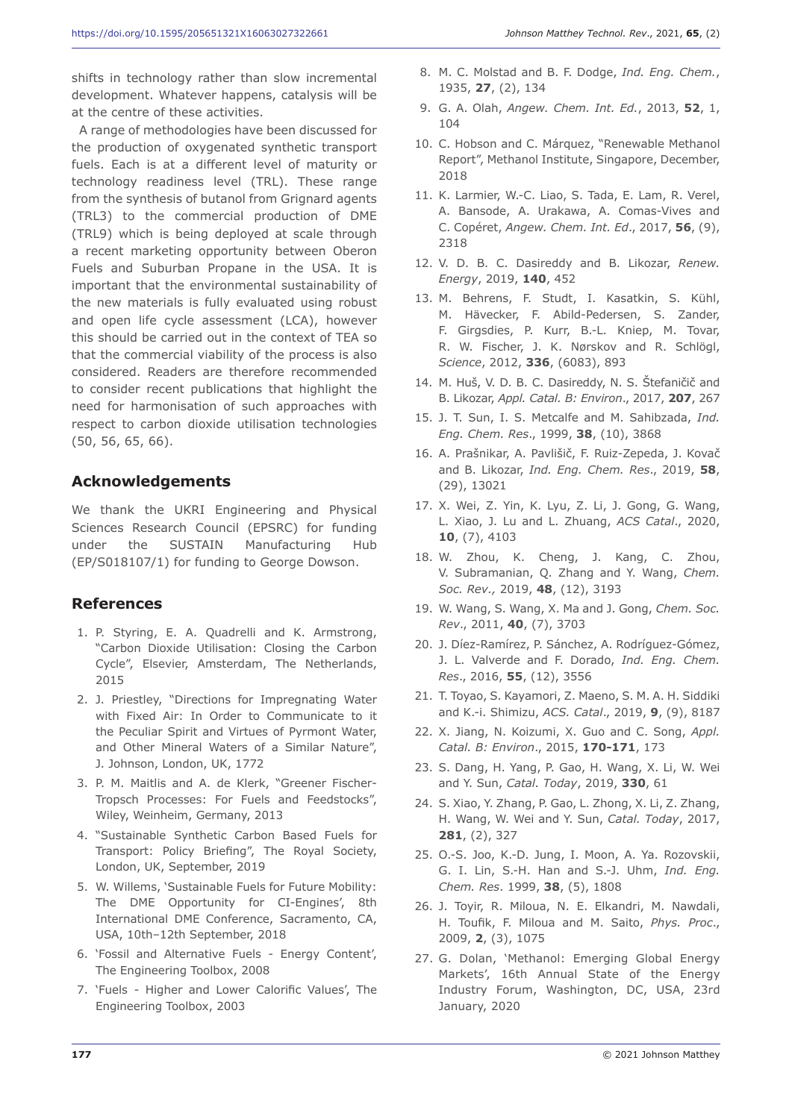shifts in technology rather than slow incremental development. Whatever happens, catalysis will be at the centre of these activities.

A range of methodologies have been discussed for the production of oxygenated synthetic transport fuels. Each is at a different level of maturity or technology readiness level (TRL). These range from the synthesis of butanol from Grignard agents (TRL3) to the commercial production of DME (TRL9) which is being deployed at scale through a recent marketing opportunity between Oberon Fuels and Suburban Propane in the USA. It is important that the environmental sustainability of the new materials is fully evaluated using robust and open life cycle assessment (LCA), however this should be carried out in the context of TEA so that the commercial viability of the process is also considered. Readers are therefore recommended to consider recent publications that highlight the need for harmonisation of such approaches with respect to carbon dioxide utilisation technologies (50, 56, 65, 66).

# **Acknowledgements**

We thank the UKRI Engineering and Physical Sciences Research Council (EPSRC) for funding under the SUSTAIN Manufacturing Hub (EP/S018107/1) for funding to George Dowson.

# **References**

- 1. P. Styring, E. A. Quadrelli and K. Armstrong, "Carbon Dioxide Utilisation: Closing the Carbon Cycle", Elsevier, Amsterdam, The Netherlands, 2015
- 2. J. Priestley, "Directions for Impregnating Water with Fixed Air: In Order to Communicate to it the Peculiar Spirit and Virtues of Pyrmont Water, and Other Mineral Waters of a Similar Nature", J. Johnson, London, UK, 1772
- 3. P. M. Maitlis and A. de Klerk, "Greener Fischer-Tropsch Processes: For Fuels and Feedstocks", Wiley, Weinheim, Germany, 2013
- 4. "Sustainable Synthetic Carbon Based Fuels for Transport: Policy Briefing", The Royal Society, London, UK, September, 2019
- 5. W. Willems, 'Sustainable Fuels for Future Mobility: The DME Opportunity for CI-Engines', 8th International DME Conference, Sacramento, CA, USA, 10th–12th September, 2018
- 6. 'Fossil and Alternative Fuels Energy Content', The Engineering Toolbox, 2008
- 7. 'Fuels Higher and Lower Calorific Values', The Engineering Toolbox, 2003
- 8. M. C. Molstad and B. F. Dodge, *Ind. Eng. Chem.*, 1935, **27**, (2), 134
- 9. G. A. Olah, *Angew. Chem. Int. Ed.*, 2013, **52**, 1, 104
- 10. C. Hobson and C. Márquez, "Renewable Methanol Report", Methanol Institute, Singapore, December, 2018
- 11. K. Larmier, W.-C. Liao, S. Tada, E. Lam, R. Verel, A. Bansode, A. Urakawa, A. Comas-Vives and C. Copéret, *Angew. Chem. Int. Ed*., 2017, **56**, (9), 2318
- 12. V. D. B. C. Dasireddy and B. Likozar, *Renew. Energy*, 2019, **140**, 452
- 13. M. Behrens, F. Studt, I. Kasatkin, S. Kühl, M. Hävecker, F. Abild-Pedersen, S. Zander, F. Girgsdies, P. Kurr, B.-L. Kniep, M. Tovar, R. W. Fischer, J. K. Nørskov and R. Schlögl, *Science*, 2012, **336**, (6083), 893
- 14. M. Huš, V. D. B. C. Dasireddy, N. S. Štefaničič and B. Likozar, *Appl. Catal. B: Environ*., 2017, **207**, 267
- 15. J. T. Sun, I. S. Metcalfe and M. Sahibzada, *Ind. Eng. Chem. Res*., 1999, **38**, (10), 3868
- 16. A. Prašnikar, A. Pavlišič, F. Ruiz-Zepeda, J. Kovač and B. Likozar, *Ind. Eng. Chem. Res*., 2019, **58**, (29), 13021
- 17. X. Wei, Z. Yin, K. Lyu, Z. Li, J. Gong, G. Wang, L. Xiao, J. Lu and L. Zhuang, *ACS Catal*., 2020, **10**, (7), 4103
- 18. W. Zhou, K. Cheng, J. Kang, C. Zhou, V. Subramanian, Q. Zhang and Y. Wang, *Chem. Soc. Rev.,* 2019, **48**, (12), 3193
- 19. W. Wang, S. Wang, X. Ma and J. Gong, *Chem. Soc. Rev*., 2011, **40**, (7), 3703
- 20. J. Díez-Ramírez, P. Sánchez, A. Rodríguez-Gómez, J. L. Valverde and F. Dorado, *Ind. Eng. Chem. Res*., 2016, **55**, (12), 3556
- 21. T. Toyao, S. Kayamori, Z. Maeno, S. M. A. H. Siddiki and K.-i. Shimizu, *ACS. Catal*., 2019, **9**, (9), 8187
- 22. X. Jiang, N. Koizumi, X. Guo and C. Song, *Appl. Catal. B: Environ*., 2015, **170-171**, 173
- 23. S. Dang, H. Yang, P. Gao, H. Wang, X. Li, W. Wei and Y. Sun, *Catal. Today*, 2019, **330**, 61
- 24. S. Xiao, Y. Zhang, P. Gao, L. Zhong, X. Li, Z. Zhang, H. Wang, W. Wei and Y. Sun, *Catal. Today*, 2017, **281**, (2), 327
- 25. O.-S. Joo, K.-D. Jung, I. Moon, A. Ya. Rozovskii, G. I. Lin, S.-H. Han and S.-J. Uhm, *Ind. Eng. Chem. Res*. 1999, **38**, (5), 1808
- 26. J. Toyir, R. Miloua, N. E. Elkandri, M. Nawdali, H. Toufik, F. Miloua and M. Saito, *Phys. Proc*., 2009, **2**, (3), 1075
- 27. G. Dolan, 'Methanol: Emerging Global Energy Markets', 16th Annual State of the Energy Industry Forum, Washington, DC, USA, 23rd January, 2020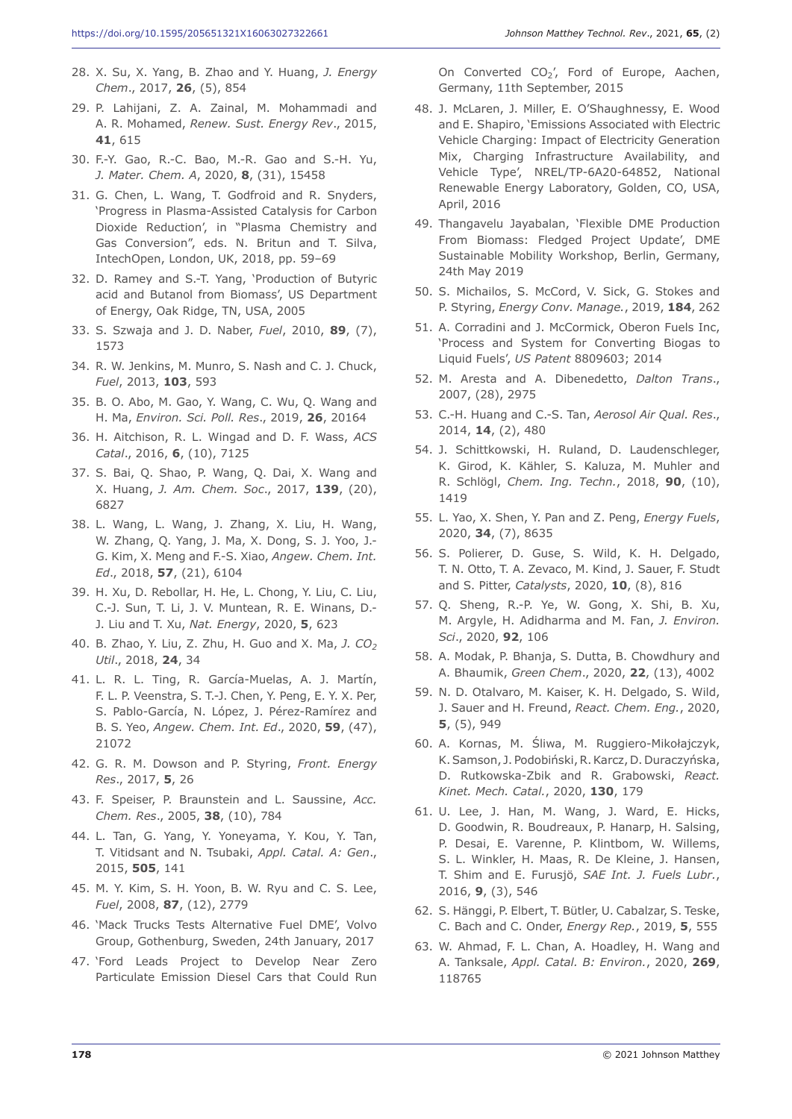- 28. X. Su, X. Yang, B. Zhao and Y. Huang, *J. Energy Chem*., 2017, **26**, (5), 854
- 29. P. Lahijani, Z. A. Zainal, M. Mohammadi and A. R. Mohamed, *Renew. Sust. Energy Rev*., 2015, **41**, 615
- 30. F.-Y. Gao, R.-C. Bao, M.-R. Gao and S.-H. Yu, *J. Mater. Chem. A*, 2020, **8**, (31), 15458
- 31. G. Chen, L. Wang, T. Godfroid and R. Snyders, 'Progress in Plasma-Assisted Catalysis for Carbon Dioxide Reduction', in "Plasma Chemistry and Gas Conversion", eds. N. Britun and T. Silva, IntechOpen, London, UK, 2018, pp. 59–69
- 32. D. Ramey and S.-T. Yang, 'Production of Butyric acid and Butanol from Biomass', US Department of Energy, Oak Ridge, TN, USA, 2005
- 33. S. Szwaja and J. D. Naber, *Fuel*, 2010, **89**, (7), 1573
- 34. R. W. Jenkins, M. Munro, S. Nash and C. J. Chuck, *Fuel*, 2013, **103**, 593
- 35. B. O. Abo, M. Gao, Y. Wang, C. Wu, Q. Wang and H. Ma, *Environ. Sci. Poll. Res*., 2019, **26**, 20164
- 36. H. Aitchison, R. L. Wingad and D. F. Wass, *ACS Catal*., 2016, **6**, (10), 7125
- 37. S. Bai, Q. Shao, P. Wang, Q. Dai, X. Wang and X. Huang, *J. Am. Chem. Soc*., 2017, **139**, (20), 6827
- 38. L. Wang, L. Wang, J. Zhang, X. Liu, H. Wang, W. Zhang, Q. Yang, J. Ma, X. Dong, S. J. Yoo, J.- G. Kim, X. Meng and F.-S. Xiao, *Angew. Chem. Int. Ed*., 2018, **57**, (21), 6104
- 39. H. Xu, D. Rebollar, H. He, L. Chong, Y. Liu, C. Liu, C.-J. Sun, T. Li, J. V. Muntean, R. E. Winans, D.- J. Liu and T. Xu, *Nat. Energy*, 2020, **5**, 623
- 40. B. Zhao, Y. Liu, Z. Zhu, H. Guo and X. Ma, *J. CO2 Util*., 2018, **24**, 34
- 41. L. R. L. Ting, R. García-Muelas, A. J. Martín, F. L. P. Veenstra, S. T.-J. Chen, Y. Peng, E. Y. X. Per, S. Pablo-García, N. López, J. Pérez-Ramírez and B. S. Yeo, *Angew. Chem. Int. Ed*., 2020, **59**, (47), 21072
- 42. G. R. M. Dowson and P. Styring, *Front. Energy Res*., 2017, **5**, 26
- 43. F. Speiser, P. Braunstein and L. Saussine, *Acc. Chem. Res*., 2005, **38**, (10), 784
- 44. L. Tan, G. Yang, Y. Yoneyama, Y. Kou, Y. Tan, T. Vitidsant and N. Tsubaki, *Appl. Catal. A: Gen*., 2015, **505**, 141
- 45. M. Y. Kim, S. H. Yoon, B. W. Ryu and C. S. Lee, *Fuel*, 2008, **87**, (12), 2779
- 46. 'Mack Trucks Tests Alternative Fuel DME', Volvo Group, Gothenburg, Sweden, 24th January, 2017
- 47. 'Ford Leads Project to Develop Near Zero Particulate Emission Diesel Cars that Could Run

On Converted  $CO<sub>2</sub>'$ , Ford of Europe, Aachen, Germany, 11th September, 2015

- 48. J. McLaren, J. Miller, E. O'Shaughnessy, E. Wood and E. Shapiro, 'Emissions Associated with Electric Vehicle Charging: Impact of Electricity Generation Mix, Charging Infrastructure Availability, and Vehicle Type', NREL/TP-6A20-64852, National Renewable Energy Laboratory, Golden, CO, USA, April, 2016
- 49. Thangavelu Jayabalan, 'Flexible DME Production From Biomass: Fledged Project Update', DME Sustainable Mobility Workshop, Berlin, Germany, 24th May 2019
- 50. S. Michailos, S. McCord, V. Sick, G. Stokes and P. Styring, *Energy Conv. Manage.*, 2019, **184**, 262
- 51. A. Corradini and J. McCormick, Oberon Fuels Inc, 'Process and System for Converting Biogas to Liquid Fuels', *US Patent* 8809603; 2014
- 52. M. Aresta and A. Dibenedetto, *Dalton Trans*., 2007, (28), 2975
- 53. C.-H. Huang and C.-S. Tan, *Aerosol Air Qual. Res*., 2014, **14**, (2), 480
- 54. J. Schittkowski, H. Ruland, D. Laudenschleger, K. Girod, K. Kähler, S. Kaluza, M. Muhler and R. Schlögl, *Chem. Ing. Techn.*, 2018, **90**, (10), 1419
- 55. L. Yao, X. Shen, Y. Pan and Z. Peng, *Energy Fuels*, 2020, **34**, (7), 8635
- 56. S. Polierer, D. Guse, S. Wild, K. H. Delgado, T. N. Otto, T. A. Zevaco, M. Kind, J. Sauer, F. Studt and S. Pitter, *Catalysts*, 2020, **10**, (8), 816
- 57. Q. Sheng, R.-P. Ye, W. Gong, X. Shi, B. Xu, M. Argyle, H. Adidharma and M. Fan, *J. Environ. Sci*., 2020, **92**, 106
- 58. A. Modak, P. Bhanja, S. Dutta, B. Chowdhury and A. Bhaumik, *Green Chem*., 2020, **22**, (13), 4002
- 59. N. D. Otalvaro, M. Kaiser, K. H. Delgado, S. Wild, J. Sauer and H. Freund, *React. Chem. Eng.*, 2020, **5**, (5), 949
- 60. A. Kornas, M. Śliwa, M. Ruggiero-Mikołajczyk, K.Samson, J. Podobiński, R.Karcz, D. Duraczyńska, D. Rutkowska-Zbik and R. Grabowski, *React. Kinet. Mech. Catal.*, 2020, **130**, 179
- 61. U. Lee, J. Han, M. Wang, J. Ward, E. Hicks, D. Goodwin, R. Boudreaux, P. Hanarp, H. Salsing, P. Desai, E. Varenne, P. Klintbom, W. Willems, S. L. Winkler, H. Maas, R. De Kleine, J. Hansen, T. Shim and E. Furusjö, *SAE Int. J. Fuels Lubr.*, 2016, **9**, (3), 546
- 62. S. Hänggi, P. Elbert, T. Bütler, U. Cabalzar, S. Teske, C. Bach and C. Onder, *Energy Rep.*, 2019, **5**, 555
- 63. W. Ahmad, F. L. Chan, A. Hoadley, H. Wang and A. Tanksale, *Appl. Catal. B: Environ.*, 2020, **269**, 118765